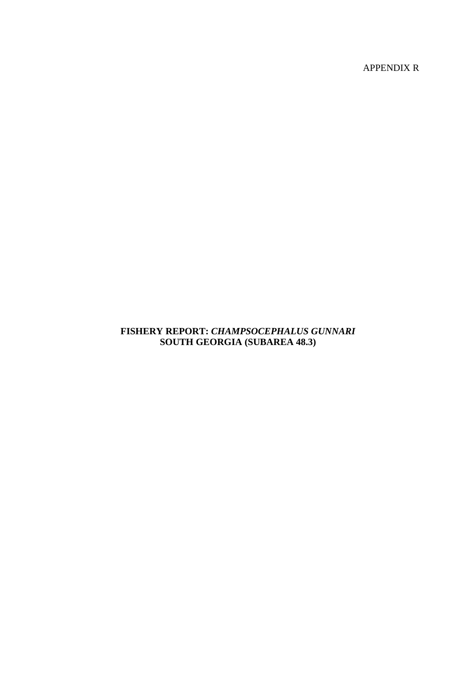APPENDIX R

# **FISHERY REPORT:** *CHAMPSOCEPHALUS GUNNARI*  **SOUTH GEORGIA (SUBAREA 48.3)**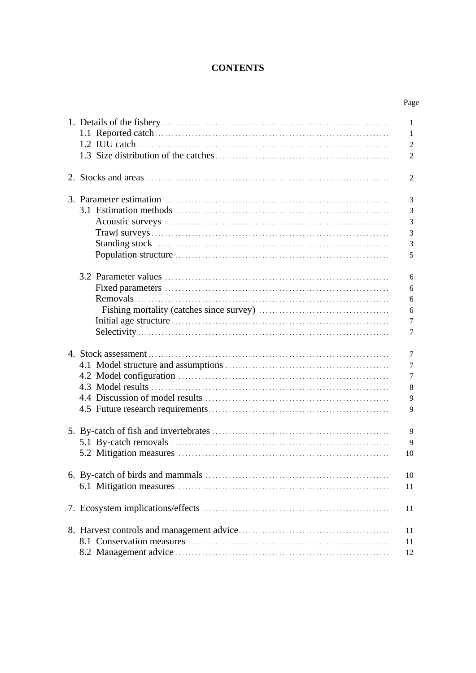# **CONTENTS**

|                         | Page                       |
|-------------------------|----------------------------|
|                         | 1<br>1<br>2<br>2           |
|                         | 2                          |
|                         | 3<br>3<br>3<br>3<br>3<br>5 |
|                         | 6<br>6<br>6<br>6<br>7<br>7 |
|                         | 7<br>7<br>7<br>8<br>9<br>9 |
| 5.2 Mitigation measures | 9<br>9<br>10               |
|                         | 10<br>11                   |
|                         | 11                         |
|                         | 11<br>11<br>12             |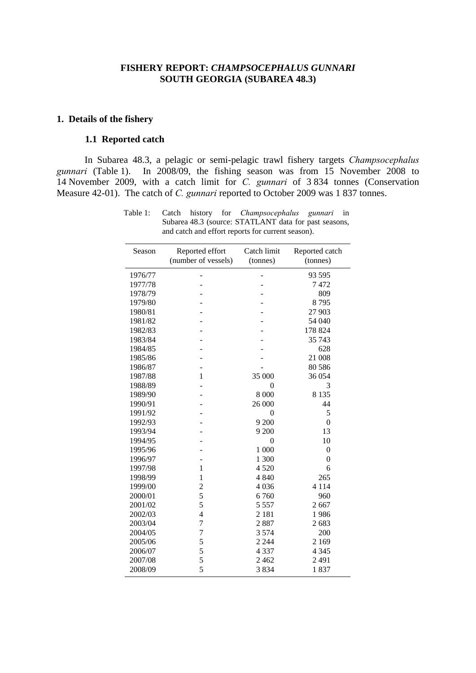## **FISHERY REPORT:** *CHAMPSOCEPHALUS GUNNARI* **SOUTH GEORGIA (SUBAREA 48.3)**

### <span id="page-2-0"></span>**1. Details of the fishery**

## **1.1 Reported catch**

In Subarea 48.3, a pelagic or semi-pelagic trawl fishery targets *Champsocephalus gunnari* (Table 1). In 2008/09, the fishing season was from 15 November 2008 to 14 November 2009, with a catch limit for *C. gunnari* of 3 834 tonnes (Conservation Measure 42-01). The catch of *C. gunnari* reported to October 2009 was 1 837 tonnes.

| Season  | Reported effort     | Catch limit    | Reported catch |
|---------|---------------------|----------------|----------------|
|         | (number of vessels) | (tonnes)       | (tonnes)       |
| 1976/77 |                     | -              | 93 595         |
| 1977/78 |                     |                | 7472           |
| 1978/79 |                     |                | 809            |
| 1979/80 |                     |                | 8795           |
| 1980/81 |                     |                | 27 903         |
| 1981/82 |                     |                | 54 040         |
| 1982/83 |                     |                | 178 824        |
| 1983/84 |                     |                | 35 743         |
| 1984/85 |                     |                | 628            |
| 1985/86 |                     |                | 21 008         |
| 1986/87 |                     |                | 80 5 86        |
| 1987/88 | $\mathbf{1}$        | 35 000         | 36 054         |
| 1988/89 |                     | $\overline{0}$ | 3              |
| 1989/90 |                     | 8 0 0 0        | 8 1 3 5        |
| 1990/91 |                     | 26 000         | 44             |
| 1991/92 |                     | $\mathbf{0}$   | 5              |
| 1992/93 |                     | 9 200          | $\mathbf{0}$   |
| 1993/94 |                     | 9 200          | 13             |
| 1994/95 |                     | $\mathbf{0}$   | 10             |
| 1995/96 |                     | 1 000          | $\mathbf{0}$   |
| 1996/97 |                     | 1 300          | $\mathbf{0}$   |
| 1997/98 | 1                   | 4 5 20         | 6              |
| 1998/99 | 1                   | 4 8 4 0        | 265            |
| 1999/00 | $\overline{c}$      | 4 0 36         | 4 1 1 4        |
| 2000/01 | 5                   | 6760           | 960            |
| 2001/02 | 5                   | 5 5 5 7        | 2667           |
| 2002/03 | $\overline{4}$      | 2 1 8 1        | 1986           |
| 2003/04 | 7                   | 2887           | 2683           |
| 2004/05 | 7                   | 3 5 7 4        | 200            |
| 2005/06 | 5                   | 2 2 4 4        | 2 1 6 9        |
| 2006/07 | 5                   | 4 3 3 7        | 4 3 4 5        |
| 2007/08 | 5                   | 2 4 6 2        | 2491           |
| 2008/09 | 5                   | 3834           | 1837           |

Table 1: Catch history for *Champsocephalus gunnari* in Subarea 48.3 (source: STATLANT data for past seasons, and catch and effort reports for current season).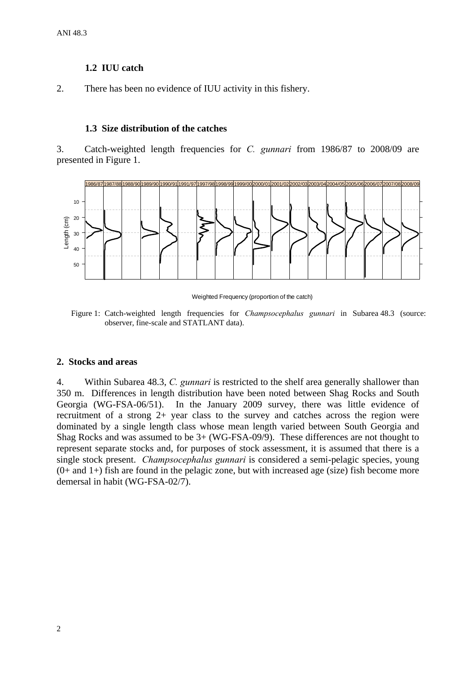## **1.2 IUU catch**

<span id="page-3-0"></span>2. There has been no evidence of IUU activity in this fishery.

## **1.3 Size distribution of the catches**

3. Catch-weighted length frequencies for *C. gunnari* from 1986/87 to 2008/09 are presented in Figure 1.



Weighted Frequency (proportion of the catch)

Figure 1: Catch-weighted length frequencies for *Champsocephalus gunnari* in Subarea 48.3 (source: observer, fine-scale and STATLANT data).

## **2. Stocks and areas**

4. Within Subarea 48.3, *C. gunnari* is restricted to the shelf area generally shallower than 350 m. Differences in length distribution have been noted between Shag Rocks and South Georgia (WG-FSA-06/51). In the January 2009 survey, there was little evidence of recruitment of a strong 2+ year class to the survey and catches across the region were dominated by a single length class whose mean length varied between South Georgia and Shag Rocks and was assumed to be 3+ (WG-FSA-09/9). These differences are not thought to represent separate stocks and, for purposes of stock assessment, it is assumed that there is a single stock present. *Champsocephalus gunnari* is considered a semi-pelagic species, young  $(0+$  and  $1+)$  fish are found in the pelagic zone, but with increased age (size) fish become more demersal in habit (WG-FSA-02/7).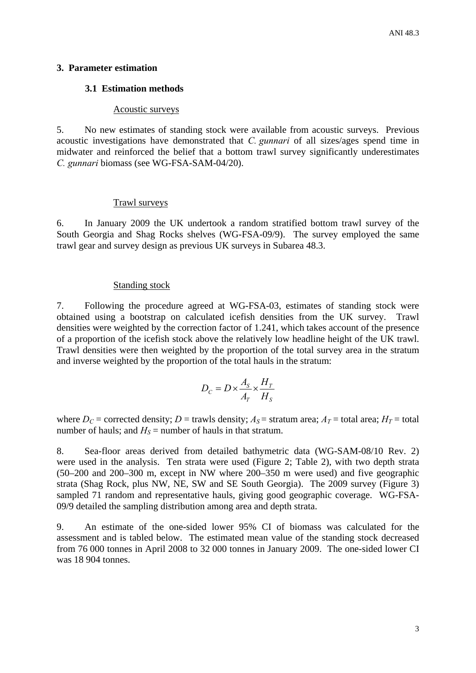### <span id="page-4-0"></span>**3. Parameter estimation**

#### **3.1 Estimation methods**

#### Acoustic surveys

5. No new estimates of standing stock were available from acoustic surveys. Previous acoustic investigations have demonstrated that *C. gunnari* of all sizes/ages spend time in midwater and reinforced the belief that a bottom trawl survey significantly underestimates *C. gunnari* biomass (see WG-FSA-SAM-04/20).

## Trawl surveys

6. In January 2009 the UK undertook a random stratified bottom trawl survey of the South Georgia and Shag Rocks shelves (WG-FSA-09/9). The survey employed the same trawl gear and survey design as previous UK surveys in Subarea 48.3.

#### Standing stock

7. Following the procedure agreed at WG-FSA-03, estimates of standing stock were obtained using a bootstrap on calculated icefish densities from the UK survey. Trawl densities were weighted by the correction factor of 1.241, which takes account of the presence of a proportion of the icefish stock above the relatively low headline height of the UK trawl. Trawl densities were then weighted by the proportion of the total survey area in the stratum and inverse weighted by the proportion of the total hauls in the stratum:

$$
D_C = D \times \frac{A_S}{A_T} \times \frac{H_T}{H_S}
$$

where *D<sub>C</sub>* = corrected density; *D* = trawls density; *A<sub>S</sub>* = stratum area; *A<sub>T</sub>* = total area; *H<sub>T</sub>* = total number of hauls; and  $H<sub>S</sub>$  = number of hauls in that stratum.

8. Sea-floor areas derived from detailed bathymetric data (WG-SAM-08/10 Rev. 2) were used in the analysis. Ten strata were used (Figure 2; Table 2), with two depth strata (50–200 and 200–300 m, except in NW where 200–350 m were used) and five geographic strata (Shag Rock, plus NW, NE, SW and SE South Georgia). The 2009 survey (Figure 3) sampled 71 random and representative hauls, giving good geographic coverage. WG-FSA-09/9 detailed the sampling distribution among area and depth strata.

9. An estimate of the one-sided lower 95% CI of biomass was calculated for the assessment and is tabled below. The estimated mean value of the standing stock decreased from 76 000 tonnes in April 2008 to 32 000 tonnes in January 2009. The one-sided lower CI was 18 904 tonnes.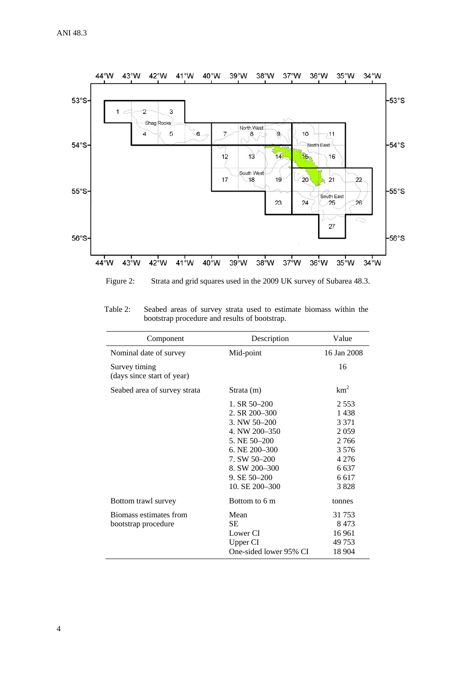

Figure 2: Strata and grid squares used in the 2009 UK survey of Subarea 48.3.

| Table 2: |                                               |  |  |  | Seabed areas of survey strata used to estimate biomass within the |  |  |
|----------|-----------------------------------------------|--|--|--|-------------------------------------------------------------------|--|--|
|          | bootstrap procedure and results of bootstrap. |  |  |  |                                                                   |  |  |

| Component                                     | Description                                                                                                     | Value                                                         |
|-----------------------------------------------|-----------------------------------------------------------------------------------------------------------------|---------------------------------------------------------------|
| Nominal date of survey                        | Mid-point                                                                                                       | 16 Jan 2008                                                   |
| Survey timing<br>(days since start of year)   |                                                                                                                 | 16                                                            |
| Seabed area of survey strata                  | Strata (m)                                                                                                      | km <sup>2</sup>                                               |
|                                               | 1. SR 50-200<br>2. SR 200-300<br>3. NW 50-200<br>4. NW 200-350<br>5. NE 50-200<br>6. NE 200-300<br>7. SW 50-200 | 2 5 5 3<br>1438<br>3 3 7 1<br>2059<br>2766<br>3576<br>4 2 7 6 |
|                                               | 8. SW 200-300<br>$9.$ SE $50-200$<br>10. SE 200-300                                                             | 6 6 3 7<br>6 6 17<br>3828                                     |
| Bottom trawl survey                           | Bottom to 6 m                                                                                                   | tonnes                                                        |
| Biomass estimates from<br>bootstrap procedure | Mean<br>SE.<br>Lower CI<br>Upper CI<br>One-sided lower 95% CI                                                   | 31 753<br>8473<br>16 961<br>49 753<br>18 904                  |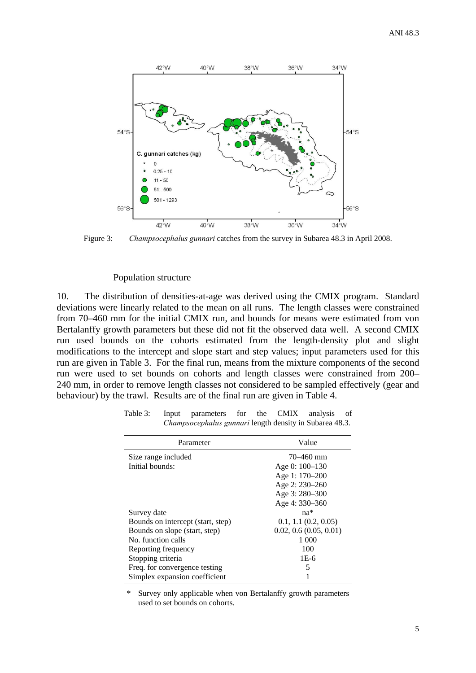<span id="page-6-0"></span>

Figure 3: *Champsocephalus gunnari* catches from the survey in Subarea 48.3 in April 2008.

#### Population structure

10. The distribution of densities-at-age was derived using the CMIX program. Standard deviations were linearly related to the mean on all runs. The length classes were constrained from 70–460 mm for the initial CMIX run, and bounds for means were estimated from von Bertalanffy growth parameters but these did not fit the observed data well. A second CMIX run used bounds on the cohorts estimated from the length-density plot and slight modifications to the intercept and slope start and step values; input parameters used for this run are given in Table 3. For the final run, means from the mixture components of the second run were used to set bounds on cohorts and length classes were constrained from 200– 240 mm, in order to remove length classes not considered to be sampled effectively (gear and behaviour) by the trawl. Results are of the final run are given in Table 4.

| Parameter                         | Value                      |
|-----------------------------------|----------------------------|
| Size range included               | $70 - 460$ mm              |
| Initial bounds:                   | Age 0: 100–130             |
|                                   | Age 1: 170-200             |
|                                   | Age 2: 230-260             |
|                                   | Age 3: 280–300             |
|                                   | Age 4: 330-360             |
| Survey date                       | $na*$                      |
| Bounds on intercept (start, step) | $0.1, 1.1$ $(0.2, 0.05)$   |
| Bounds on slope (start, step)     | $0.02, 0.6$ $(0.05, 0.01)$ |
| No. function calls                | 1 000                      |
| Reporting frequency               | 100                        |
| Stopping criteria                 | $1E-6$                     |
| Freq. for convergence testing     | 5                          |
| Simplex expansion coefficient     |                            |

Table 3: Input parameters for the CMIX analysis of *Champsocephalus gunnari* length density in Subarea 48.3.

Survey only applicable when von Bertalanffy growth parameters used to set bounds on cohorts.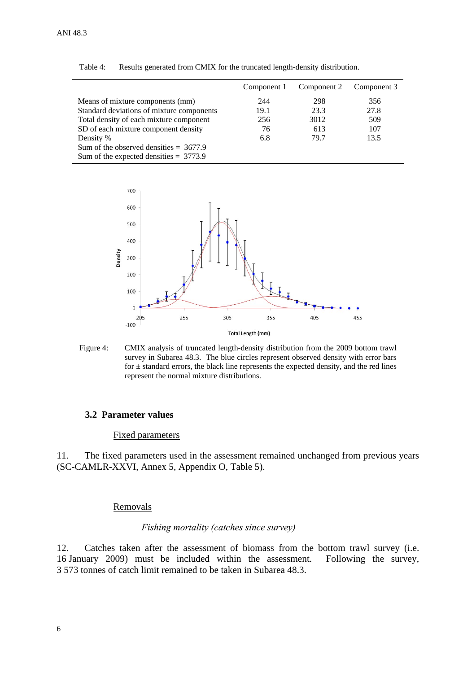|                                           | Component 1 | Component 2 | Component 3 |
|-------------------------------------------|-------------|-------------|-------------|
| Means of mixture components (mm)          | 244         | 298         | 356         |
| Standard deviations of mixture components | 19.1        | 23.3        | 27.8        |
| Total density of each mixture component   | 256         | 3012        | 509         |
| SD of each mixture component density      | 76          | 613         | 107         |
| Density %                                 | 6.8         | 79.7        | 13.5        |
| Sum of the observed densities $= 3677.9$  |             |             |             |
| Sum of the expected densities $= 3773.9$  |             |             |             |

<span id="page-7-0"></span>Table 4: Results generated from CMIX for the truncated length-density distribution.



Figure 4: CMIX analysis of truncated length-density distribution from the 2009 bottom trawl survey in Subarea 48.3. The blue circles represent observed density with error bars for  $\pm$  standard errors, the black line represents the expected density, and the red lines represent the normal mixture distributions.

#### **3.2 Parameter values**

#### Fixed parameters

11. The fixed parameters used in the assessment remained unchanged from previous years (SC-CAMLR-XXVI, Annex 5, Appendix O, Table 5).

## Removals

#### *Fishing mortality (catches since survey)*

12. Catches taken after the assessment of biomass from the bottom trawl survey (i.e. 16 January 2009) must be included within the assessment. Following the survey, 3 573 tonnes of catch limit remained to be taken in Subarea 48.3.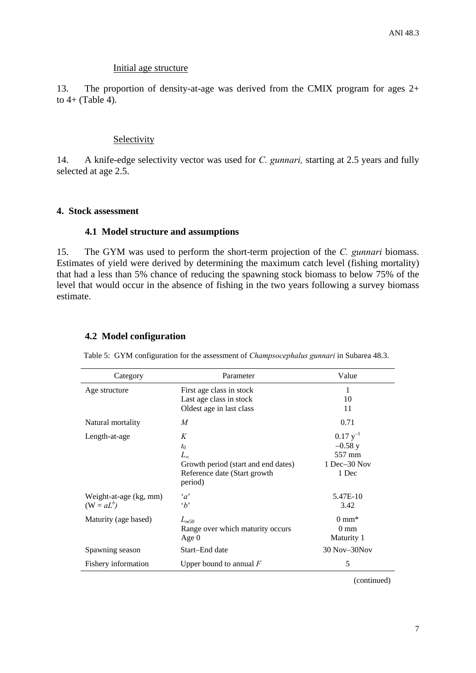### Initial age structure

<span id="page-8-0"></span>13. The proportion of density-at-age was derived from the CMIX program for ages 2+ to  $4+$  (Table 4).

#### Selectivity

14. A knife-edge selectivity vector was used for *C. gunnari,* starting at 2.5 years and fully selected at age 2.5.

#### **4. Stock assessment**

## **4.1 Model structure and assumptions**

15. The GYM was used to perform the short-term projection of the *C. gunnari* biomass. Estimates of yield were derived by determining the maximum catch level (fishing mortality) that had a less than 5% chance of reducing the spawning stock biomass to below 75% of the level that would occur in the absence of fishing in the two years following a survey biomass estimate.

#### **4.2 Model configuration**

Table 5: GYM configuration for the assessment of *Champsocephalus gunnari* in Subarea 48.3.

| Category                               | Parameter                                                                                                    | Value                                                                 |
|----------------------------------------|--------------------------------------------------------------------------------------------------------------|-----------------------------------------------------------------------|
| Age structure                          | First age class in stock<br>Last age class in stock<br>Oldest age in last class                              | 1<br>10<br>11                                                         |
| Natural mortality                      | M                                                                                                            | 0.71                                                                  |
| Length-at-age                          | K<br>$t_0$<br>$L_{\infty}$<br>Growth period (start and end dates)<br>Reference date (Start growth<br>period) | $0.17 \text{ y}^{-1}$<br>$-0.58$ y<br>557 mm<br>1 Dec-30 Nov<br>1 Dec |
| Weight-at-age (kg, mm)<br>$(W = aL^b)$ | $\alpha$<br>$\cdot_b$                                                                                        | 5.47E-10<br>3.42                                                      |
| Maturity (age based)                   | $L_{m50}$<br>Range over which maturity occurs<br>Age $0$                                                     | $0 \text{ mm}^*$<br>$0 \text{ mm}$<br>Maturity 1                      |
| Spawning season                        | Start-End date                                                                                               | 30 Nov-30Nov                                                          |
| Fishery information                    | Upper bound to annual $F$                                                                                    | 5                                                                     |

(continued)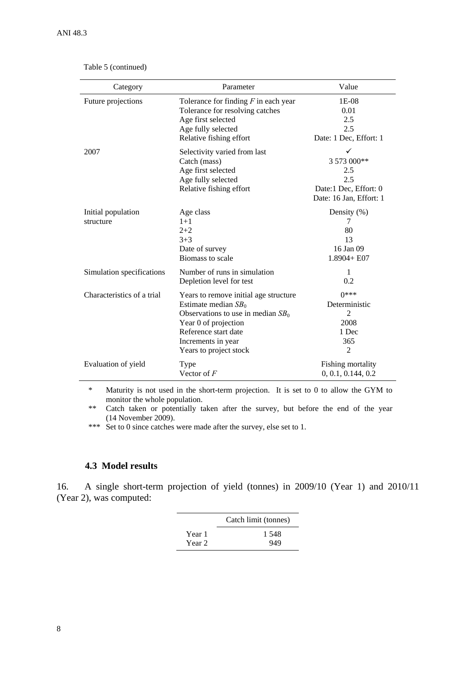| Category                   | Parameter                              | Value                   |
|----------------------------|----------------------------------------|-------------------------|
| Future projections         | Tolerance for finding $F$ in each year | 1E-08                   |
|                            | Tolerance for resolving catches        | 0.01                    |
|                            | Age first selected                     | 2.5                     |
|                            | Age fully selected                     | 2.5                     |
|                            | Relative fishing effort                | Date: 1 Dec, Effort: 1  |
| 2007                       | Selectivity varied from last           |                         |
|                            | Catch (mass)                           | 3 573 000**             |
|                            | Age first selected                     | 2.5                     |
|                            | Age fully selected                     | 2.5                     |
|                            | Relative fishing effort                | Date:1 Dec, Effort: 0   |
|                            |                                        | Date: 16 Jan, Effort: 1 |
| Initial population         | Age class                              | Density $(\%)$          |
| structure                  | $1 + 1$                                | 7                       |
|                            | $2+2$                                  | 80                      |
|                            | $3 + 3$                                | 13                      |
|                            | Date of survey                         | 16 Jan 09               |
|                            | Biomass to scale                       | $1.8904 + E07$          |
| Simulation specifications  | Number of runs in simulation           | $\mathbf{1}$            |
|                            | Depletion level for test               | 0.2                     |
| Characteristics of a trial | Years to remove initial age structure  | $0***$                  |
|                            | Estimate median $SB0$                  | Deterministic           |
|                            | Observations to use in median $SB0$    | $\overline{2}$          |
|                            | Year 0 of projection                   | 2008                    |
|                            | Reference start date                   | 1 Dec                   |
|                            | Increments in year                     | 365                     |
|                            | Years to project stock                 | 2                       |
| Evaluation of yield        | Type                                   | Fishing mortality       |
|                            | Vector of $F$                          | 0, 0.1, 0.144, 0.2      |

<span id="page-9-0"></span>Table 5 (continued)

\* Maturity is not used in the short-term projection. It is set to 0 to allow the GYM to monitor the whole population.

\*\* Catch taken or potentially taken after the survey, but before the end of the year (14 November 2009).

\*\*\* Set to 0 since catches were made after the survey, else set to 1.

### **4.3 Model results**

16. A single short-term projection of yield (tonnes) in 2009/10 (Year 1) and 2010/11 (Year 2), was computed:

|        | Catch limit (tonnes) |
|--------|----------------------|
| Year 1 | 1.548                |
| Year 2 | 949                  |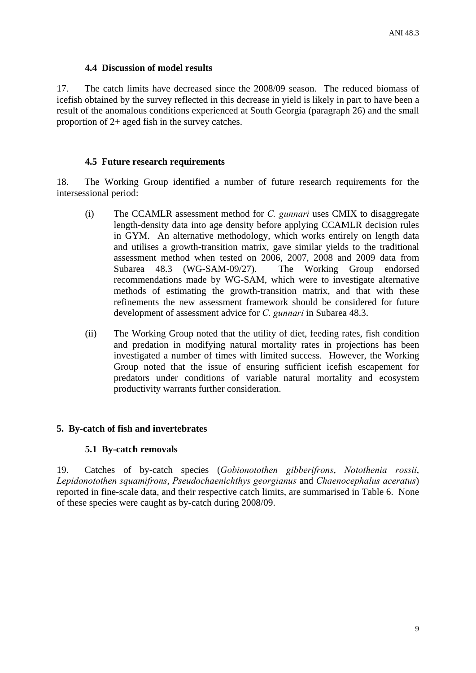## **4.4 Discussion of model results**

<span id="page-10-0"></span>17. The catch limits have decreased since the 2008/09 season. The reduced biomass of icefish obtained by the survey reflected in this decrease in yield is likely in part to have been a result of the anomalous conditions experienced at South Georgia (paragraph 26) and the small proportion of 2+ aged fish in the survey catches.

## **4.5 Future research requirements**

18. The Working Group identified a number of future research requirements for the intersessional period:

- (i) The CCAMLR assessment method for *C. gunnari* uses CMIX to disaggregate length-density data into age density before applying CCAMLR decision rules in GYM. An alternative methodology, which works entirely on length data and utilises a growth-transition matrix, gave similar yields to the traditional assessment method when tested on 2006, 2007, 2008 and 2009 data from Subarea 48.3 (WG-SAM-09/27). The Working Group endorsed recommendations made by WG-SAM, which were to investigate alternative methods of estimating the growth-transition matrix, and that with these refinements the new assessment framework should be considered for future development of assessment advice for *C. gunnari* in Subarea 48.3.
- (ii) The Working Group noted that the utility of diet, feeding rates, fish condition and predation in modifying natural mortality rates in projections has been investigated a number of times with limited success. However, the Working Group noted that the issue of ensuring sufficient icefish escapement for predators under conditions of variable natural mortality and ecosystem productivity warrants further consideration.

## **5. By-catch of fish and invertebrates**

## **5.1 By-catch removals**

19. Catches of by-catch species (*Gobionotothen gibberifrons*, *Notothenia rossii*, *Lepidonotothen squamifrons*, *Pseudochaenichthys georgianus* and *Chaenocephalus aceratus*) reported in fine-scale data, and their respective catch limits, are summarised in Table 6. None of these species were caught as by-catch during 2008/09.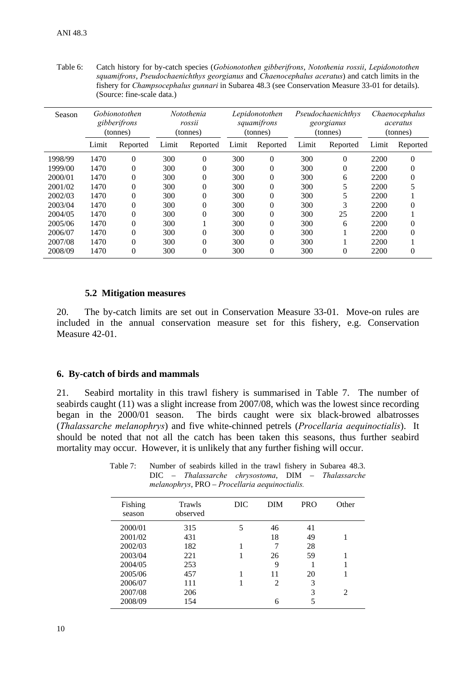<span id="page-11-0"></span>

| Table 6: | Catch history for by-catch species ( <i>Gobionotothen gibberifrons</i> , <i>Notothenia rossii</i> , <i>Lepidonotothen</i> |
|----------|---------------------------------------------------------------------------------------------------------------------------|
|          | squamifrons, Pseudochaenichthys georgianus and Chaenocephalus aceratus) and catch limits in the                           |
|          | fishery for <i>Champsocephalus gunnari</i> in Subarea 48.3 (see Conservation Measure 33-01 for details).                  |
|          | (Source: fine-scale data.)                                                                                                |

| Season  | Gobionotothen<br>gibberifrons<br>(tonnes) |          | Notothenia<br>rossii<br>(tonnes) |          | Lepidonotothen<br>squamifrons<br>(tonnes) |          | Pseudochaenichthys<br>georgianus<br>(tonnes) |          | Chaenocephalus<br>aceratus<br>(tonnes) |          |
|---------|-------------------------------------------|----------|----------------------------------|----------|-------------------------------------------|----------|----------------------------------------------|----------|----------------------------------------|----------|
|         | Limit                                     | Reported | Limit                            | Reported | Limit                                     | Reported | Limit                                        | Reported | Limit                                  | Reported |
| 1998/99 | 1470                                      | 0        | 300                              | $\Omega$ | 300                                       | $\theta$ | 300                                          | 0        | 2200                                   | 0        |
| 1999/00 | 1470                                      | 0        | 300                              | $\Omega$ | 300                                       | $\Omega$ | 300                                          | 0        | 2200                                   |          |
| 2000/01 | 1470                                      | 0        | 300                              | $\Omega$ | 300                                       | $\Omega$ | 300                                          | 6        | 2200                                   |          |
| 2001/02 | 1470                                      | 0        | 300                              | $\Omega$ | 300                                       | $\Omega$ | 300                                          |          | 2200                                   |          |
| 2002/03 | 1470                                      | 0        | 300                              | $\theta$ | 300                                       | $\theta$ | 300                                          |          | 2200                                   |          |
| 2003/04 | 1470                                      | 0        | 300                              | $\theta$ | 300                                       | $\Omega$ | 300                                          | 3        | 2200                                   |          |
| 2004/05 | 1470                                      | 0        | 300                              |          | 300                                       | $\Omega$ | 300                                          | 25       | 2200                                   |          |
| 2005/06 | 1470                                      | 0        | 300                              |          | 300                                       | $\Omega$ | 300                                          | 6        | 2200                                   |          |
| 2006/07 | 1470                                      | 0        | 300                              | $\Omega$ | 300                                       | $\Omega$ | 300                                          |          | 2200                                   |          |
| 2007/08 | 1470                                      | 0        | 300                              | $\theta$ | 300                                       | $\theta$ | 300                                          |          | 2200                                   |          |
| 2008/09 | 1470                                      | 0        | 300                              | $\theta$ | 300                                       | $\theta$ | 300                                          | 0        | 2200                                   | 0        |

## **5.2 Mitigation measures**

20. The by-catch limits are set out in Conservation Measure 33-01. Move-on rules are included in the annual conservation measure set for this fishery, e.g. Conservation Measure 42-01.

## **6. By-catch of birds and mammals**

21. Seabird mortality in this trawl fishery is summarised in Table 7. The number of seabirds caught (11) was a slight increase from 2007/08, which was the lowest since recording began in the 2000/01 season. The birds caught were six black-browed albatrosses (*Thalassarche melanophrys*) and five white-chinned petrels (*Procellaria aequinoctialis*). It should be noted that not all the catch has been taken this seasons, thus further seabird mortality may occur. However, it is unlikely that any further fishing will occur.

| melanophrys, PRO – Procellaria aequinoctialis. |                    |     |            |            |                |  |  |  |
|------------------------------------------------|--------------------|-----|------------|------------|----------------|--|--|--|
| Fishing<br>season                              | Trawls<br>observed | DIC | <b>DIM</b> | <b>PRO</b> | Other          |  |  |  |
| 2000/01                                        | 315                | 5   | 46         | 41         |                |  |  |  |
| 2001/02                                        | 431                |     | 18         | 49         |                |  |  |  |
| 2002/03                                        | 182                |     |            | 28         |                |  |  |  |
| 2003/04                                        | 221                |     | 26         | 59         |                |  |  |  |
| 2004/05                                        | 253                |     | 9          |            |                |  |  |  |
| 2005/06                                        | 457                |     | 11         | 20         | 1              |  |  |  |
| 2006/07                                        | 111                |     | 2          | 3          |                |  |  |  |
| 2007/08                                        | 206                |     |            | 3          | $\mathfrak{D}$ |  |  |  |
| 2008/09                                        | 154                |     | 6          | 5          |                |  |  |  |

Table 7: Number of seabirds killed in the trawl fishery in Subarea 48.3. DIC – *Thalassarche chrysostoma*, DIM – *Thalassarche melanophrys*, PRO – *Procellaria aequinoctialis.*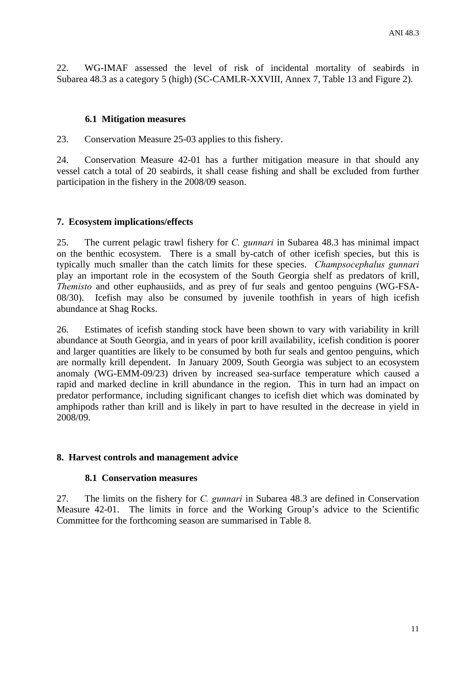<span id="page-12-0"></span>22. WG-IMAF assessed the level of risk of incidental mortality of seabirds in Subarea 48.3 as a category 5 (high) (SC-CAMLR-XXVIII, Annex 7, Table 13 and Figure 2).

## **6.1 Mitigation measures**

23. Conservation Measure 25-03 applies to this fishery.

24. Conservation Measure 42-01 has a further mitigation measure in that should any vessel catch a total of 20 seabirds, it shall cease fishing and shall be excluded from further participation in the fishery in the 2008/09 season.

### **7. Ecosystem implications/effects**

25. The current pelagic trawl fishery for *C. gunnari* in Subarea 48.3 has minimal impact on the benthic ecosystem. There is a small by-catch of other icefish species, but this is typically much smaller than the catch limits for these species. *Champsocephalus gunnari* play an important role in the ecosystem of the South Georgia shelf as predators of krill, *Themisto* and other euphausiids, and as prey of fur seals and gentoo penguins (WG-FSA-08/30). Icefish may also be consumed by juvenile toothfish in years of high icefish abundance at Shag Rocks.

26. Estimates of icefish standing stock have been shown to vary with variability in krill abundance at South Georgia, and in years of poor krill availability, icefish condition is poorer and larger quantities are likely to be consumed by both fur seals and gentoo penguins, which are normally krill dependent. In January 2009, South Georgia was subject to an ecosystem anomaly (WG-EMM-09/23) driven by increased sea-surface temperature which caused a rapid and marked decline in krill abundance in the region. This in turn had an impact on predator performance, including significant changes to icefish diet which was dominated by amphipods rather than krill and is likely in part to have resulted in the decrease in yield in 2008/09.

#### **8. Harvest controls and management advice**

#### **8.1 Conservation measures**

27. The limits on the fishery for *C. gunnari* in Subarea 48.3 are defined in Conservation Measure 42-01. The limits in force and the Working Group's advice to the Scientific Committee for the forthcoming season are summarised in Table 8.